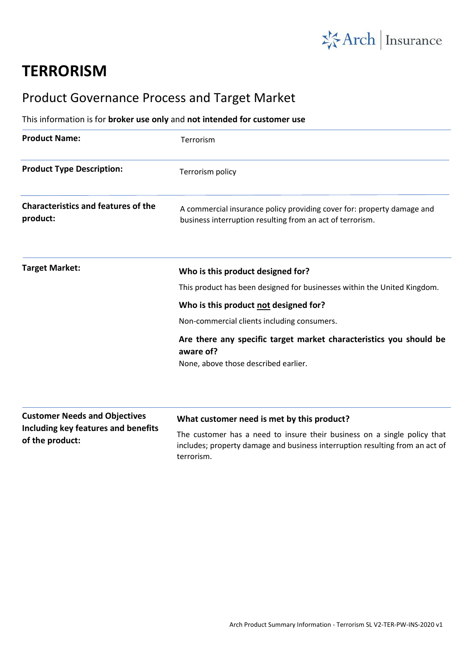

## **TERRORISM**

## Product Governance Process and Target Market

## This information is for **broker use only** and **not intended for customer use**

| <b>Product Name:</b>                                   | Terrorism                                                                                                                           |
|--------------------------------------------------------|-------------------------------------------------------------------------------------------------------------------------------------|
| <b>Product Type Description:</b>                       | Terrorism policy                                                                                                                    |
| <b>Characteristics and features of the</b><br>product: | A commercial insurance policy providing cover for: property damage and<br>business interruption resulting from an act of terrorism. |
| <b>Target Market:</b>                                  | Who is this product designed for?                                                                                                   |
|                                                        | This product has been designed for businesses within the United Kingdom.                                                            |
|                                                        | Who is this product not designed for?                                                                                               |
|                                                        | Non-commercial clients including consumers.                                                                                         |
|                                                        | Are there any specific target market characteristics you should be<br>aware of?                                                     |
|                                                        | None, above those described earlier.                                                                                                |
| <b>Customer Needs and Objectives</b>                   | What customer need is met by this product?                                                                                          |
| Including key features and benefits<br>of the product: | The customer has a need to insure their business on a single policy that                                                            |
|                                                        | includes; property damage and business interruption resulting from an act of                                                        |

terrorism.